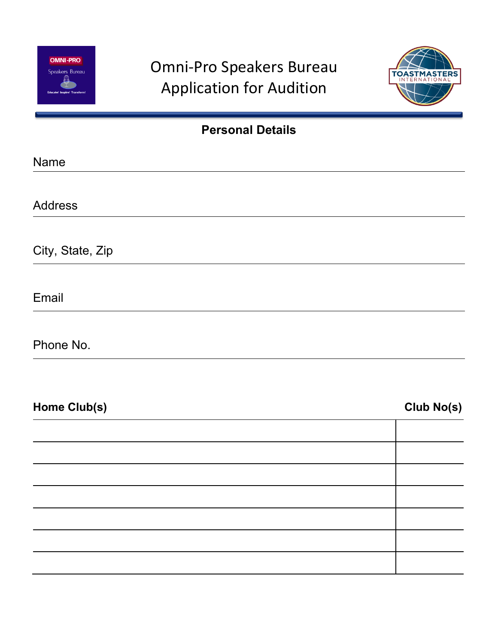

## Omni-Pro Speakers Bureau Application for Audition



Name

Address

City, State, Zip

Email

Phone No.

**Home Club(s)** Club No(s)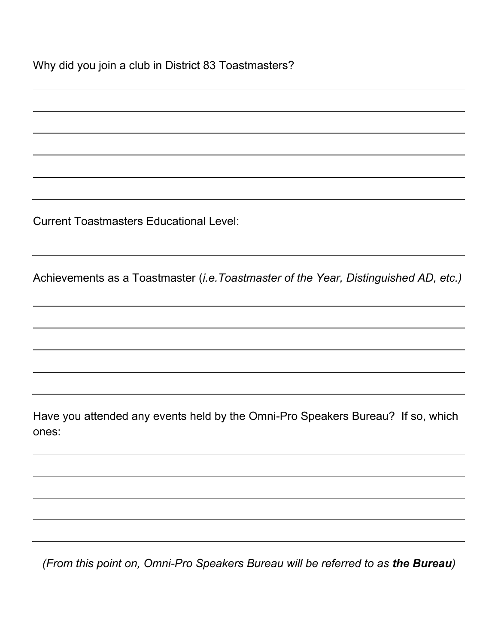Why did you join a club in District 83 Toastmasters?

Current Toastmasters Educational Level:

Achievements as a Toastmaster (*i.e.Toastmaster of the Year, Distinguished AD, etc.)*

Have you attended any events held by the Omni-Pro Speakers Bureau? If so, which ones:

*(From this point on, Omni-Pro Speakers Bureau will be referred to as the Bureau)*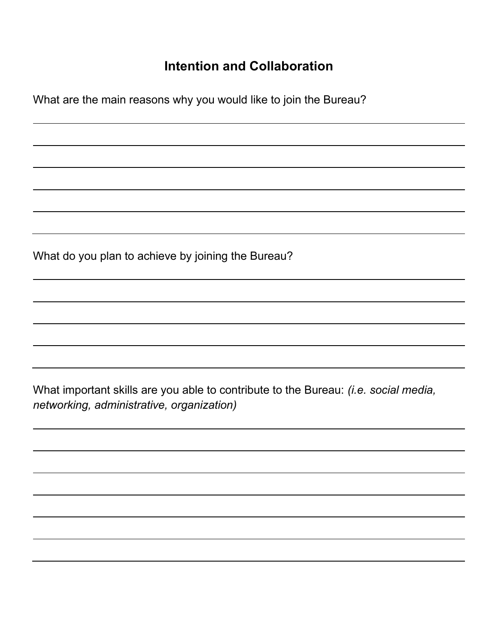## **Intention and Collaboration**

What are the main reasons why you would like to join the Bureau?

What do you plan to achieve by joining the Bureau?

What important skills are you able to contribute to the Bureau: *(i.e. social media, networking, administrative, organization)*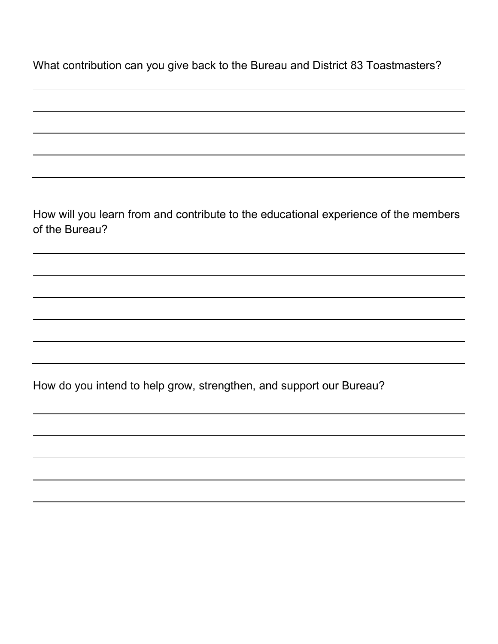What contribution can you give back to the Bureau and District 83 Toastmasters?

How will you learn from and contribute to the educational experience of the members of the Bureau? How do you intend to help grow, strengthen, and support our Bureau?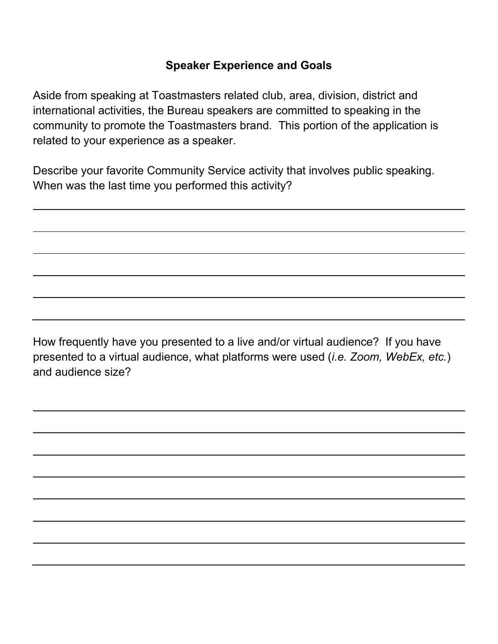## **Speaker Experience and Goals**

Aside from speaking at Toastmasters related club, area, division, district and international activities, the Bureau speakers are committed to speaking in the community to promote the Toastmasters brand. This portion of the application is related to your experience as a speaker.

Describe your favorite Community Service activity that involves public speaking. When was the last time you performed this activity?

How frequently have you presented to a live and/or virtual audience? If you have presented to a virtual audience, what platforms were used (*i.e. Zoom, WebEx, etc.*) and audience size?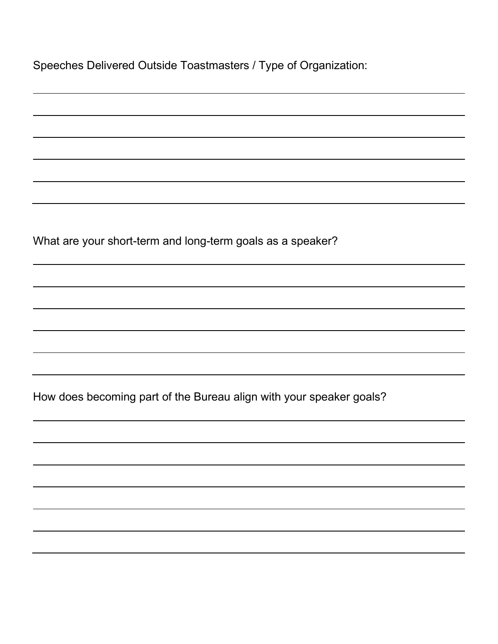Speeches Delivered Outside Toastmasters / Type of Organization:

What are your short-term and long-term goals as a speaker?

How does becoming part of the Bureau align with your speaker goals?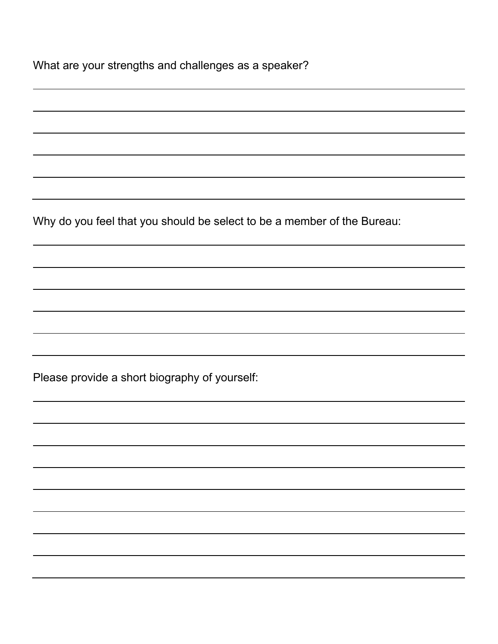| What are your strengths and challenges as a speaker? |  |  |  |  |
|------------------------------------------------------|--|--|--|--|
|                                                      |  |  |  |  |

Why do you feel that you should be select to be a member of the Bureau: Please provide a short biography of yourself: